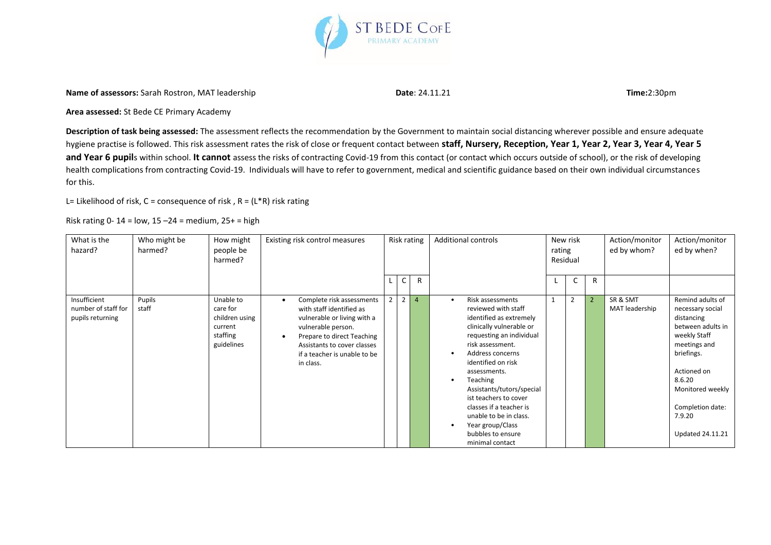

**Name of assessors:** Sarah Rostron, MAT leadership **Date**: 24.11.21 **Time:**2:30pm

**Area assessed:** St Bede CE Primary Academy

**Description of task being assessed:** The assessment reflects the recommendation by the Government to maintain social distancing wherever possible and ensure adequate hygiene practise is followed. This risk assessment rates the risk of close or frequent contact between **staff, Nursery, Reception, Year 1, Year 2, Year 3, Year 4, Year 5**  and Year 6 pupils within school. It cannot assess the risks of contracting Covid-19 from this contact (or contact which occurs outside of school), or the risk of developing health complications from contracting Covid-19. Individuals will have to refer to government, medical and scientific guidance based on their own individual circumstances for this.

L= Likelihood of risk,  $C$  = consequence of risk,  $R = (L^*R)$  risk rating

Risk rating 0-14 =  $low$ , 15 -24 = medium, 25+ = high

| What is the<br>hazard?                                  | Who might be<br>harmed? | How might<br>people be<br>harmed?                                            | Existing risk control measures                                                                                                                                                                                                                 |                |                | Risk rating    | <b>Additional controls</b>                                                                                                                                                                                                                                                                                                                                                                                            | rating | New risk<br>Residual |                | Action/monitor<br>ed by whom? | Action/monitor<br>ed by when?                                                                                                                                                                                               |
|---------------------------------------------------------|-------------------------|------------------------------------------------------------------------------|------------------------------------------------------------------------------------------------------------------------------------------------------------------------------------------------------------------------------------------------|----------------|----------------|----------------|-----------------------------------------------------------------------------------------------------------------------------------------------------------------------------------------------------------------------------------------------------------------------------------------------------------------------------------------------------------------------------------------------------------------------|--------|----------------------|----------------|-------------------------------|-----------------------------------------------------------------------------------------------------------------------------------------------------------------------------------------------------------------------------|
|                                                         |                         |                                                                              |                                                                                                                                                                                                                                                |                | C              | $\mathsf{R}$   |                                                                                                                                                                                                                                                                                                                                                                                                                       |        | C                    | R              |                               |                                                                                                                                                                                                                             |
| Insufficient<br>number of staff for<br>pupils returning | Pupils<br>staff         | Unable to<br>care for<br>children using<br>current<br>staffing<br>guidelines | Complete risk assessments<br>$\bullet$<br>with staff identified as<br>vulnerable or living with a<br>vulnerable person.<br>Prepare to direct Teaching<br>$\bullet$<br>Assistants to cover classes<br>if a teacher is unable to be<br>in class. | $\overline{2}$ | $\overline{2}$ | $\overline{4}$ | Risk assessments<br>$\bullet$<br>reviewed with staff<br>identified as extremely<br>clinically vulnerable or<br>requesting an individual<br>risk assessment.<br>Address concerns<br>identified on risk<br>assessments.<br>Teaching<br>$\bullet$<br>Assistants/tutors/special<br>ist teachers to cover<br>classes if a teacher is<br>unable to be in class.<br>Year group/Class<br>bubbles to ensure<br>minimal contact |        | $\overline{2}$       | $\overline{2}$ | SR & SMT<br>MAT leadership    | Remind adults of<br>necessary social<br>distancing<br>between adults in<br>weekly Staff<br>meetings and<br>briefings.<br>Actioned on<br>8.6.20<br>Monitored weekly<br>Completion date:<br>7.9.20<br><b>Updated 24.11.21</b> |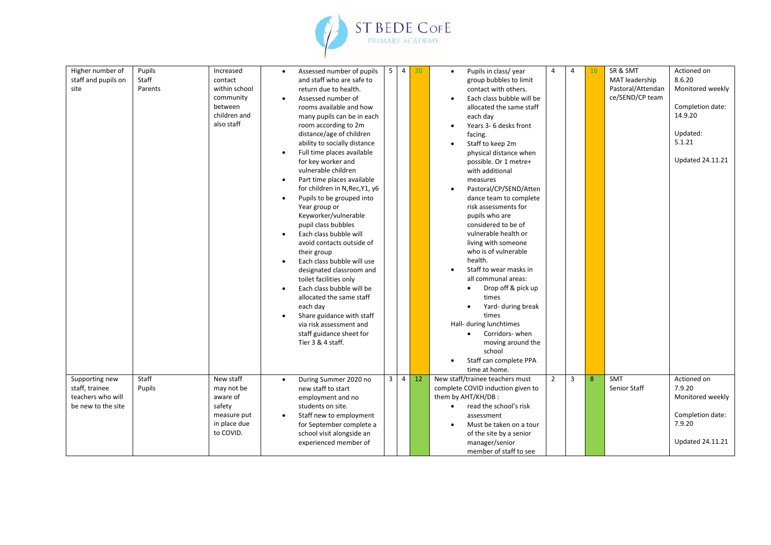

| Higher number of<br>staff and pupils on<br>site                             | Pupils<br>Staff<br>Parents | Increased<br>contact<br>within school<br>community<br>between<br>children and<br>also staff | $\bullet$<br>$\bullet$<br>$\bullet$<br>$\bullet$<br>$\bullet$<br>$\bullet$<br>$\bullet$ | Assessed number of pupils<br>and staff who are safe to<br>return due to health.<br>Assessed number of<br>rooms available and how<br>many pupils can be in each<br>room according to 2m<br>distance/age of children<br>ability to socially distance<br>Full time places available<br>for key worker and<br>vulnerable children<br>Part time places available<br>for children in N, Rec, Y1, y6<br>Pupils to be grouped into<br>Year group or<br>Keyworker/vulnerable<br>pupil class bubbles<br>Each class bubble will<br>avoid contacts outside of<br>their group<br>Each class bubble will use<br>designated classroom and<br>toilet facilities only<br>Each class bubble will be<br>allocated the same staff<br>each day<br>Share guidance with staff<br>via risk assessment and<br>staff guidance sheet for<br>Tier 3 & 4 staff. | 5 <sub>1</sub> | $\overline{4}$ | 20 | Pupils in class/year<br>$\bullet$<br>group bubbles to limit<br>contact with others.<br>Each class bubble will be<br>allocated the same staff<br>each day<br>Years 3- 6 desks front<br>facing.<br>Staff to keep 2m<br>$\bullet$<br>physical distance when<br>possible. Or 1 metre+<br>with additional<br>measures<br>Pastoral/CP/SEND/Atten<br>dance team to complete<br>risk assessments for<br>pupils who are<br>considered to be of<br>vulnerable health or<br>living with someone<br>who is of vulnerable<br>health.<br>Staff to wear masks in<br>all communal areas:<br>Drop off & pick up<br>times<br>Yard- during break<br>times<br>Hall- during lunchtimes<br>Corridors- when<br>$\bullet$<br>moving around the<br>school<br>Staff can complete PPA<br>time at home. | Δ              | $\overline{4}$ | 16 | SR & SMT<br>MAT leadership<br>Pastoral/Attendan<br>ce/SEND/CP team | Actioned on<br>8.6.20<br>Monitored weekly<br>Completion date:<br>14.9.20<br>Updated:<br>5.1.21<br><b>Updated 24.11.21</b> |
|-----------------------------------------------------------------------------|----------------------------|---------------------------------------------------------------------------------------------|-----------------------------------------------------------------------------------------|------------------------------------------------------------------------------------------------------------------------------------------------------------------------------------------------------------------------------------------------------------------------------------------------------------------------------------------------------------------------------------------------------------------------------------------------------------------------------------------------------------------------------------------------------------------------------------------------------------------------------------------------------------------------------------------------------------------------------------------------------------------------------------------------------------------------------------|----------------|----------------|----|-----------------------------------------------------------------------------------------------------------------------------------------------------------------------------------------------------------------------------------------------------------------------------------------------------------------------------------------------------------------------------------------------------------------------------------------------------------------------------------------------------------------------------------------------------------------------------------------------------------------------------------------------------------------------------------------------------------------------------------------------------------------------------|----------------|----------------|----|--------------------------------------------------------------------|---------------------------------------------------------------------------------------------------------------------------|
| Supporting new<br>staff, trainee<br>teachers who will<br>be new to the site | Staff<br>Pupils            | New staff<br>may not be<br>aware of<br>safety<br>measure put<br>in place due<br>to COVID.   | $\bullet$                                                                               | During Summer 2020 no<br>new staff to start<br>employment and no<br>students on site.<br>Staff new to employment<br>for September complete a<br>school visit alongside an<br>experienced member of                                                                                                                                                                                                                                                                                                                                                                                                                                                                                                                                                                                                                                 | $\mathbf{3}$   | $\overline{4}$ | 12 | New staff/trainee teachers must<br>complete COVID induction given to<br>them by AHT/KH/DB:<br>read the school's risk<br>$\bullet$<br>assessment<br>Must be taken on a tour<br>of the site by a senior<br>manager/senior<br>member of staff to see                                                                                                                                                                                                                                                                                                                                                                                                                                                                                                                           | $\overline{2}$ | $\overline{3}$ | 8  | <b>SMT</b><br>Senior Staff                                         | Actioned on<br>7.9.20<br>Monitored weekly<br>Completion date:<br>7.9.20<br><b>Updated 24.11.21</b>                        |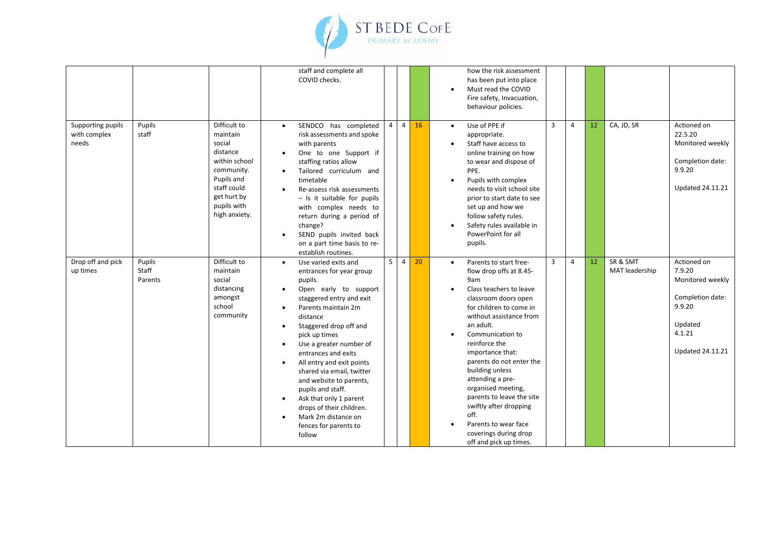

|                                            |                            |                                                                                                                                                           |                                                                                         | staff and complete all<br>COVID checks.                                                                                                                                                                                                                                                                                                                                                                                                                                    |                |                |    |                                     | how the risk assessment<br>has been put into place<br>Must read the COVID<br>Fire safety, Invacuation,<br>behaviour policies.                                                                                                                                                                                                                                                                                                                                              |                |                |    |                            |                                                                                                                         |
|--------------------------------------------|----------------------------|-----------------------------------------------------------------------------------------------------------------------------------------------------------|-----------------------------------------------------------------------------------------|----------------------------------------------------------------------------------------------------------------------------------------------------------------------------------------------------------------------------------------------------------------------------------------------------------------------------------------------------------------------------------------------------------------------------------------------------------------------------|----------------|----------------|----|-------------------------------------|----------------------------------------------------------------------------------------------------------------------------------------------------------------------------------------------------------------------------------------------------------------------------------------------------------------------------------------------------------------------------------------------------------------------------------------------------------------------------|----------------|----------------|----|----------------------------|-------------------------------------------------------------------------------------------------------------------------|
| Supporting pupils<br>with complex<br>needs | Pupils<br>staff            | Difficult to<br>maintain<br>social<br>distance<br>within school<br>community.<br>Pupils and<br>staff could<br>get hurt by<br>pupils with<br>high anxiety. | $\bullet$<br>$\bullet$                                                                  | SENDCO has completed<br>risk assessments and spoke<br>with parents<br>One to one Support if<br>staffing ratios allow<br>Tailored curriculum and<br>timetable<br>Re-assess risk assessments<br>- Is it suitable for pupils<br>with complex needs to<br>return during a period of<br>change?<br>SEND pupils invited back<br>on a part time basis to re-<br>establish routines.                                                                                               | $\overline{4}$ | $\overline{4}$ | 16 | $\bullet$<br>$\bullet$<br>$\bullet$ | Use of PPE if<br>appropriate.<br>Staff have access to<br>online training on how<br>to wear and dispose of<br>PPE.<br>Pupils with complex<br>needs to visit school site<br>prior to start date to see<br>set up and how we<br>follow safety rules.<br>Safety rules available in<br>PowerPoint for all<br>pupils.                                                                                                                                                            | $\overline{3}$ | 4              | 12 | CA, JD, SR                 | Actioned on<br>22.5.20<br>Monitored weekly<br>Completion date:<br>9.9.20<br><b>Updated 24.11.21</b>                     |
| Drop off and pick<br>up times              | Pupils<br>Staff<br>Parents | Difficult to<br>maintain<br>social<br>distancing<br>amongst<br>school<br>community                                                                        | $\bullet$<br>$\bullet$<br>$\bullet$<br>$\bullet$<br>$\bullet$<br>$\bullet$<br>$\bullet$ | Use varied exits and<br>entrances for year group<br>pupils.<br>Open early to support<br>staggered entry and exit<br>Parents maintain 2m<br>distance<br>Staggered drop off and<br>pick up times<br>Use a greater number of<br>entrances and exits<br>All entry and exit points<br>shared via email, twitter<br>and website to parents,<br>pupils and staff.<br>Ask that only 1 parent<br>drops of their children.<br>Mark 2m distance on<br>fences for parents to<br>follow | 5 <sup>5</sup> | $\overline{4}$ | 20 | $\bullet$                           | Parents to start free-<br>flow drop offs at 8.45-<br>9am<br>Class teachers to leave<br>classroom doors open<br>for children to come in<br>without assistance from<br>an adult.<br>Communication to<br>reinforce the<br>importance that:<br>parents do not enter the<br>building unless<br>attending a pre-<br>organised meeting,<br>parents to leave the site<br>swiftly after dropping<br>off.<br>Parents to wear face<br>coverings during drop<br>off and pick up times. | $\overline{3}$ | $\overline{4}$ | 12 | SR & SMT<br>MAT leadership | Actioned on<br>7.9.20<br>Monitored weekly<br>Completion date:<br>9.9.20<br>Updated<br>4.1.21<br><b>Updated 24.11.21</b> |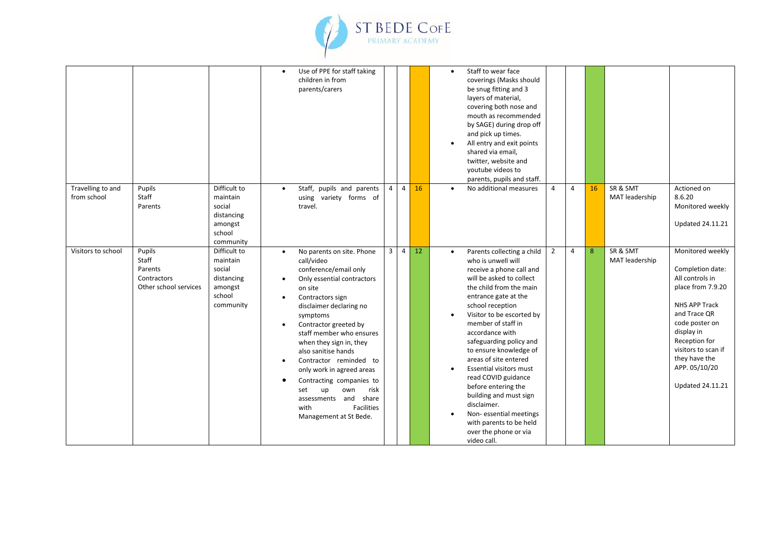

|                                  |                                                                    |                                                                                    | $\bullet$                                                          | Use of PPE for staff taking<br>children in from<br>parents/carers                                                                                                                                                                                                                                                                                                                                                                                                          |                |                |    | $\bullet$<br>$\bullet$ | Staff to wear face<br>coverings (Masks should<br>be snug fitting and 3<br>layers of material,<br>covering both nose and<br>mouth as recommended<br>by SAGE) during drop off<br>and pick up times.<br>All entry and exit points<br>shared via email,<br>twitter, website and<br>youtube videos to<br>parents, pupils and staff.                                                                                                                                                                                                                            |                |                |    |                            |                                                                                                                                                                                                                                                    |
|----------------------------------|--------------------------------------------------------------------|------------------------------------------------------------------------------------|--------------------------------------------------------------------|----------------------------------------------------------------------------------------------------------------------------------------------------------------------------------------------------------------------------------------------------------------------------------------------------------------------------------------------------------------------------------------------------------------------------------------------------------------------------|----------------|----------------|----|------------------------|-----------------------------------------------------------------------------------------------------------------------------------------------------------------------------------------------------------------------------------------------------------------------------------------------------------------------------------------------------------------------------------------------------------------------------------------------------------------------------------------------------------------------------------------------------------|----------------|----------------|----|----------------------------|----------------------------------------------------------------------------------------------------------------------------------------------------------------------------------------------------------------------------------------------------|
| Travelling to and<br>from school | Pupils<br>Staff<br>Parents                                         | Difficult to<br>maintain<br>social<br>distancing<br>amongst<br>school<br>community | $\bullet$                                                          | Staff, pupils and parents<br>using variety forms of<br>travel.                                                                                                                                                                                                                                                                                                                                                                                                             | $\overline{4}$ | $\overline{4}$ | 16 | $\bullet$              | No additional measures                                                                                                                                                                                                                                                                                                                                                                                                                                                                                                                                    | $\overline{4}$ | 4              | 16 | SR & SMT<br>MAT leadership | Actioned on<br>8.6.20<br>Monitored weekly<br><b>Updated 24.11.21</b>                                                                                                                                                                               |
| Visitors to school               | Pupils<br>Staff<br>Parents<br>Contractors<br>Other school services | Difficult to<br>maintain<br>social<br>distancing<br>amongst<br>school<br>community | $\bullet$<br>$\bullet$<br>$\bullet$<br>$\bullet$<br>$\bullet$<br>٠ | No parents on site. Phone<br>call/video<br>conference/email only<br>Only essential contractors<br>on site<br>Contractors sign<br>disclaimer declaring no<br>symptoms<br>Contractor greeted by<br>staff member who ensures<br>when they sign in, they<br>also sanitise hands<br>Contractor reminded to<br>only work in agreed areas<br>Contracting companies to<br>own<br>risk<br>set<br>up<br>assessments and share<br><b>Facilities</b><br>with<br>Management at St Bede. | $\overline{3}$ | $\overline{4}$ | 12 | $\bullet$              | Parents collecting a child<br>who is unwell will<br>receive a phone call and<br>will be asked to collect<br>the child from the main<br>entrance gate at the<br>school reception<br>Visitor to be escorted by<br>member of staff in<br>accordance with<br>safeguarding policy and<br>to ensure knowledge of<br>areas of site entered<br><b>Essential visitors must</b><br>read COVID guidance<br>before entering the<br>building and must sign<br>disclaimer.<br>Non-essential meetings<br>with parents to be held<br>over the phone or via<br>video call. | $\overline{2}$ | $\overline{a}$ | 8  | SR & SMT<br>MAT leadership | Monitored weekly<br>Completion date:<br>All controls in<br>place from 7.9.20<br>NHS APP Track<br>and Trace OR<br>code poster on<br>display in<br>Reception for<br>visitors to scan if<br>they have the<br>APP. 05/10/20<br><b>Updated 24.11.21</b> |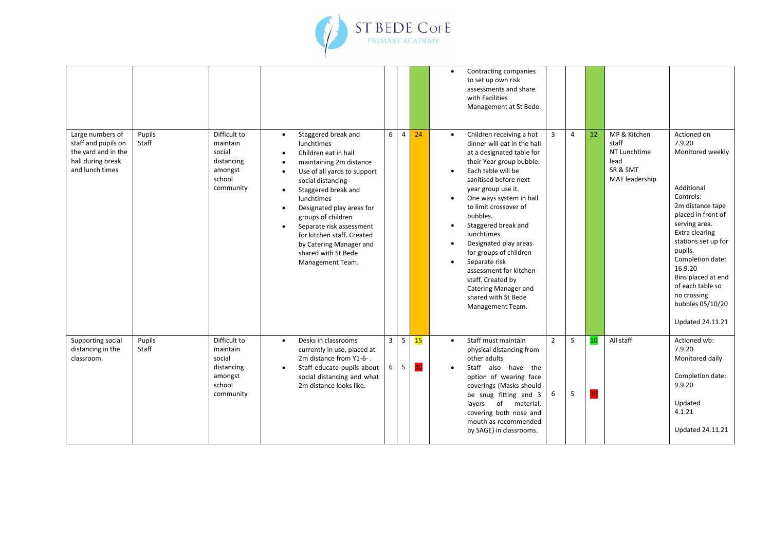

|                                                                                                        |                 |                                                                                    |                                                                                                                                                                                                                                                                                                                                                                                                                                                |                     |                |          | $\bullet$                                        | Contracting companies<br>to set up own risk<br>assessments and share<br>with Facilities<br>Management at St Bede.                                                                                                                                                                                                                                                                                                                                                                       |                     |                |          |                                                                             |                                                                                                                                                                                                                                                                                                                            |
|--------------------------------------------------------------------------------------------------------|-----------------|------------------------------------------------------------------------------------|------------------------------------------------------------------------------------------------------------------------------------------------------------------------------------------------------------------------------------------------------------------------------------------------------------------------------------------------------------------------------------------------------------------------------------------------|---------------------|----------------|----------|--------------------------------------------------|-----------------------------------------------------------------------------------------------------------------------------------------------------------------------------------------------------------------------------------------------------------------------------------------------------------------------------------------------------------------------------------------------------------------------------------------------------------------------------------------|---------------------|----------------|----------|-----------------------------------------------------------------------------|----------------------------------------------------------------------------------------------------------------------------------------------------------------------------------------------------------------------------------------------------------------------------------------------------------------------------|
| Large numbers of<br>staff and pupils on<br>the yard and in the<br>hall during break<br>and lunch times | Pupils<br>Staff | Difficult to<br>maintain<br>social<br>distancing<br>amongst<br>school<br>community | Staggered break and<br>$\bullet$<br>lunchtimes<br>Children eat in hall<br>$\bullet$<br>maintaining 2m distance<br>Use of all yards to support<br>$\bullet$<br>social distancing<br>Staggered break and<br>$\bullet$<br>lunchtimes<br>Designated play areas for<br>$\bullet$<br>groups of children<br>Separate risk assessment<br>$\bullet$<br>for kitchen staff. Created<br>by Catering Manager and<br>shared with St Bede<br>Management Team. | 6                   | $\overline{4}$ | 24       | $\bullet$<br>$\bullet$<br>$\bullet$<br>$\bullet$ | Children receiving a hot<br>dinner will eat in the hall<br>at a designated table for<br>their Year group bubble.<br>Each table will be<br>sanitised before next<br>year group use it.<br>One ways system in hall<br>to limit crossover of<br>bubbles.<br>Staggered break and<br>lunchtimes<br>Designated play areas<br>for groups of children<br>Separate risk<br>assessment for kitchen<br>staff. Created by<br><b>Catering Manager and</b><br>shared with St Bede<br>Management Team. | 3                   | $\overline{4}$ | 12       | MP & Kitchen<br>staff<br>NT Lunchtime<br>lead<br>SR & SMT<br>MAT leadership | Actioned on<br>7.9.20<br>Monitored weekly<br>Additional<br>Controls:<br>2m distance tape<br>placed in front of<br>serving area.<br>Extra clearing<br>stations set up for<br>pupils.<br>Completion date:<br>16.9.20<br>Bins placed at end<br>of each table so<br>no crossing<br>bubbles 05/10/20<br><b>Updated 24.11.21</b> |
| Supporting social<br>distancing in the<br>classroom.                                                   | Pupils<br>Staff | Difficult to<br>maintain<br>social<br>distancing<br>amongst<br>school<br>community | Desks in classrooms<br>$\bullet$<br>currently in use, placed at<br>2m distance from Y1-6-.<br>Staff educate pupils about<br>$\bullet$<br>social distancing and what<br>2m distance looks like.                                                                                                                                                                                                                                                 | $\overline{3}$<br>6 | 5<br>5         | 15<br>30 | $\bullet$                                        | Staff must maintain<br>physical distancing from<br>other adults<br>Staff also have the<br>option of wearing face<br>coverings (Masks should<br>be snug fitting and 3<br>layers of material,<br>covering both nose and<br>mouth as recommended<br>by SAGE) in classrooms.                                                                                                                                                                                                                | $\overline{2}$<br>6 | 5<br>5         | 10<br>30 | All staff                                                                   | Actioned wb:<br>7.9.20<br>Monitored daily<br>Completion date:<br>9.9.20<br>Updated<br>4.1.21<br><b>Updated 24.11.21</b>                                                                                                                                                                                                    |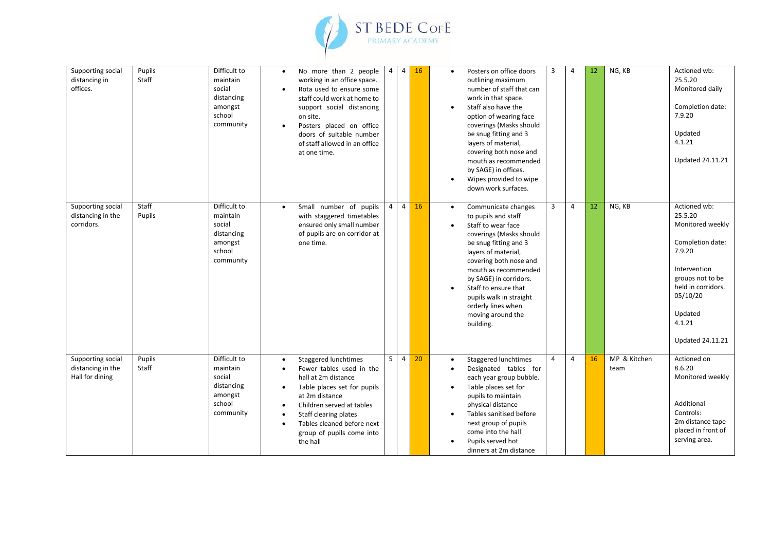

| Supporting social<br>distancing in<br>offices.            | Pupils<br>Staff | Difficult to<br>maintain<br>social<br>distancing<br>amongst<br>school<br>community | $\bullet$<br>$\bullet$                   | No more than 2 people<br>working in an office space.<br>Rota used to ensure some<br>staff could work at home to<br>support social distancing<br>on site.<br>Posters placed on office<br>doors of suitable number<br>of staff allowed in an office<br>at one time. | $\overline{4}$ | $\overline{4}$ | 16 | $\bullet$              | Posters on office doors<br>outlining maximum<br>number of staff that can<br>work in that space.<br>Staff also have the<br>option of wearing face<br>coverings (Masks should<br>be snug fitting and 3<br>layers of material,<br>covering both nose and<br>mouth as recommended<br>by SAGE) in offices.<br>Wipes provided to wipe<br>down work surfaces. | 3              | 4              | 12              | NG, KB               | Actioned wb:<br>25.5.20<br>Monitored daily<br>Completion date:<br>7.9.20<br>Updated<br>4.1.21<br><b>Updated 24.11.21</b>                                                                        |
|-----------------------------------------------------------|-----------------|------------------------------------------------------------------------------------|------------------------------------------|-------------------------------------------------------------------------------------------------------------------------------------------------------------------------------------------------------------------------------------------------------------------|----------------|----------------|----|------------------------|--------------------------------------------------------------------------------------------------------------------------------------------------------------------------------------------------------------------------------------------------------------------------------------------------------------------------------------------------------|----------------|----------------|-----------------|----------------------|-------------------------------------------------------------------------------------------------------------------------------------------------------------------------------------------------|
| Supporting social<br>distancing in the<br>corridors.      | Staff<br>Pupils | Difficult to<br>maintain<br>social<br>distancing<br>amongst<br>school<br>community | $\bullet$                                | Small number of pupils<br>with staggered timetables<br>ensured only small number<br>of pupils are on corridor at<br>one time.                                                                                                                                     | $\overline{4}$ | $\overline{4}$ | 16 | $\bullet$<br>$\bullet$ | Communicate changes<br>to pupils and staff<br>Staff to wear face<br>coverings (Masks should<br>be snug fitting and 3<br>layers of material,<br>covering both nose and<br>mouth as recommended<br>by SAGE) in corridors.<br>Staff to ensure that<br>pupils walk in straight<br>orderly lines when<br>moving around the<br>building.                     | $\overline{3}$ | $\overline{4}$ | 12 <sup>2</sup> | NG, KB               | Actioned wb:<br>25.5.20<br>Monitored weekly<br>Completion date:<br>7.9.20<br>Intervention<br>groups not to be<br>held in corridors.<br>05/10/20<br>Updated<br>4.1.21<br><b>Updated 24.11.21</b> |
| Supporting social<br>distancing in the<br>Hall for dining | Pupils<br>Staff | Difficult to<br>maintain<br>social<br>distancing<br>amongst<br>school<br>community | $\bullet$<br>$\bullet$<br>٠<br>$\bullet$ | Staggered lunchtimes<br>Fewer tables used in the<br>hall at 2m distance<br>Table places set for pupils<br>at 2m distance<br>Children served at tables<br>Staff clearing plates<br>Tables cleaned before next<br>group of pupils come into<br>the hall             | 5              | $\overline{4}$ | 20 | $\bullet$              | Staggered lunchtimes<br>Designated tables for<br>each year group bubble.<br>Table places set for<br>pupils to maintain<br>physical distance<br>Tables sanitised before<br>next group of pupils<br>come into the hall<br>Pupils served hot<br>dinners at 2m distance                                                                                    | $\overline{4}$ | $\overline{a}$ | 16              | MP & Kitchen<br>team | Actioned on<br>8.6.20<br>Monitored weekly<br>Additional<br>Controls:<br>2m distance tape<br>placed in front of<br>serving area.                                                                 |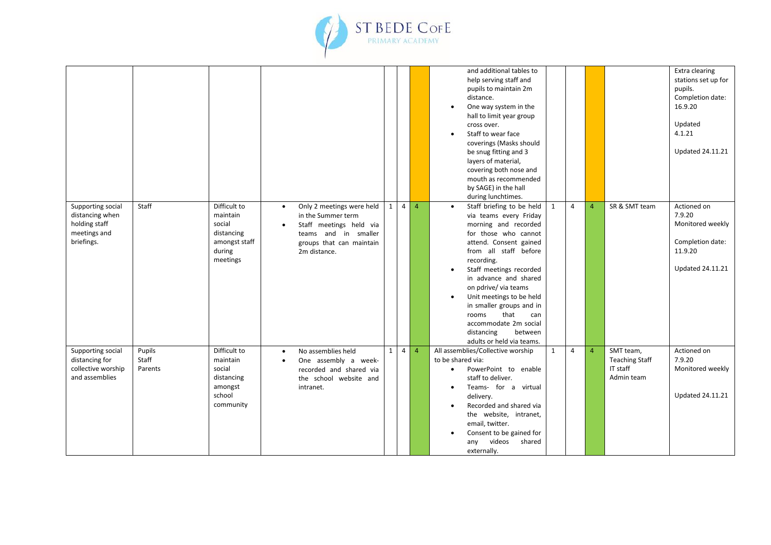

|                                                                                     |                            |                                                                                         |                        |                                                                                                                                                |   |                |                | and additional tables to<br>help serving staff and<br>pupils to maintain 2m<br>distance.<br>One way system in the<br>hall to limit year group<br>cross over.<br>Staff to wear face<br>coverings (Masks should<br>be snug fitting and 3<br>layers of material,<br>covering both nose and<br>mouth as recommended<br>by SAGE) in the hall<br>during lunchtimes.                                                   |              |                |                |                                                              | Extra clearing<br>stations set up for<br>pupils.<br>Completion date:<br>16.9.20<br>Updated<br>4.1.21<br><b>Updated 24.11.21</b> |
|-------------------------------------------------------------------------------------|----------------------------|-----------------------------------------------------------------------------------------|------------------------|------------------------------------------------------------------------------------------------------------------------------------------------|---|----------------|----------------|-----------------------------------------------------------------------------------------------------------------------------------------------------------------------------------------------------------------------------------------------------------------------------------------------------------------------------------------------------------------------------------------------------------------|--------------|----------------|----------------|--------------------------------------------------------------|---------------------------------------------------------------------------------------------------------------------------------|
| Supporting social<br>distancing when<br>holding staff<br>meetings and<br>briefings. | Staff                      | Difficult to<br>maintain<br>social<br>distancing<br>amongst staff<br>during<br>meetings | $\bullet$<br>$\bullet$ | Only 2 meetings were held<br>in the Summer term<br>Staff meetings held via<br>teams and in smaller<br>groups that can maintain<br>2m distance. | 1 | $\overline{4}$ | $\overline{4}$ | Staff briefing to be held<br>via teams every Friday<br>morning and recorded<br>for those who cannot<br>attend. Consent gained<br>from all staff before<br>recording.<br>Staff meetings recorded<br>in advance and shared<br>on pdrive/ via teams<br>Unit meetings to be held<br>in smaller groups and in<br>that<br>rooms<br>can<br>accommodate 2m social<br>distancing<br>between<br>adults or held via teams. | 1            | $\overline{4}$ | $\overline{4}$ | SR & SMT team                                                | Actioned on<br>7.9.20<br>Monitored weekly<br>Completion date:<br>11.9.20<br><b>Updated 24.11.21</b>                             |
| Supporting social<br>distancing for<br>collective worship<br>and assemblies         | Pupils<br>Staff<br>Parents | Difficult to<br>maintain<br>social<br>distancing<br>amongst<br>school<br>community      | $\bullet$<br>$\bullet$ | No assemblies held<br>One assembly a week-<br>recorded and shared via<br>the school website and<br>intranet.                                   | 1 | $\overline{4}$ | $\overline{4}$ | All assemblies/Collective worship<br>to be shared via:<br>PowerPoint to enable<br>staff to deliver.<br>Teams- for a virtual<br>delivery.<br>Recorded and shared via<br>the website, intranet,<br>email, twitter.<br>Consent to be gained for<br>videos<br>shared<br>any<br>externally.                                                                                                                          | $\mathbf{1}$ | $\overline{4}$ | $\overline{4}$ | SMT team,<br><b>Teaching Staff</b><br>IT staff<br>Admin team | Actioned on<br>7.9.20<br>Monitored weekly<br><b>Updated 24.11.21</b>                                                            |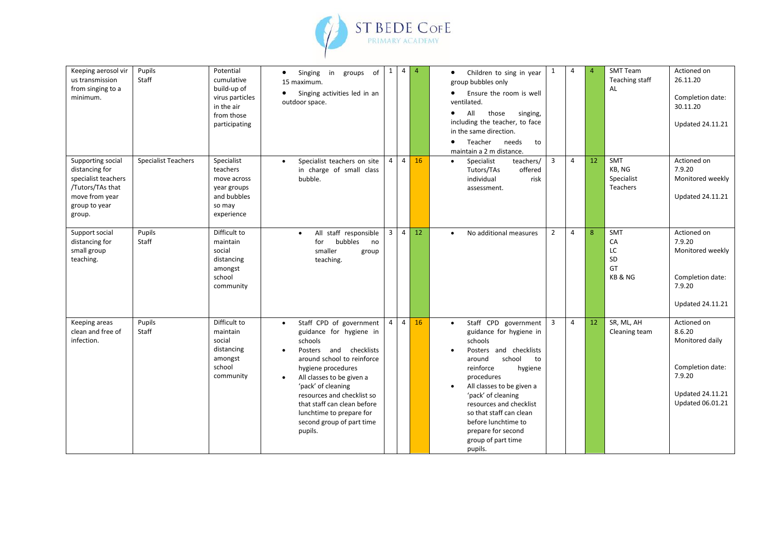

| Keeping aerosol vir<br>us transmission<br>from singing to a<br>minimum.                                                     | Pupils<br>Staff            | Potential<br>cumulative<br>build-up of<br>virus particles<br>in the air<br>from those<br>participating | Singing in groups<br>of<br>$\bullet$<br>15 maximum.<br>Singing activities led in an<br>$\bullet$<br>outdoor space.                                                                                                                                                                                                                                                     | 1              | $\overline{4}$ | $\overline{4}$ | Children to sing in year<br>$\bullet$<br>group bubbles only<br>Ensure the room is well<br>$\bullet$<br>ventilated.<br>All<br>those<br>singing,<br>$\bullet$<br>including the teacher, to face<br>in the same direction.<br>Teacher<br>needs<br>to<br>$\bullet$<br>maintain a 2 m distance.                                                               | $\mathbf{1}$   | $\overline{4}$ | $\overline{A}$ | <b>SMT Team</b><br>Teaching staff<br>AL       | Actioned on<br>26.11.20<br>Completion date:<br>30.11.20<br><b>Updated 24.11.21</b>                                    |
|-----------------------------------------------------------------------------------------------------------------------------|----------------------------|--------------------------------------------------------------------------------------------------------|------------------------------------------------------------------------------------------------------------------------------------------------------------------------------------------------------------------------------------------------------------------------------------------------------------------------------------------------------------------------|----------------|----------------|----------------|----------------------------------------------------------------------------------------------------------------------------------------------------------------------------------------------------------------------------------------------------------------------------------------------------------------------------------------------------------|----------------|----------------|----------------|-----------------------------------------------|-----------------------------------------------------------------------------------------------------------------------|
| Supporting social<br>distancing for<br>specialist teachers<br>/Tutors/TAs that<br>move from year<br>group to year<br>group. | <b>Specialist Teachers</b> | Specialist<br>teachers<br>move across<br>year groups<br>and bubbles<br>so may<br>experience            | Specialist teachers on site<br>$\bullet$<br>in charge of small class<br>bubble.                                                                                                                                                                                                                                                                                        | $\overline{4}$ | $\overline{4}$ | 16             | teachers/<br>Specialist<br>$\bullet$<br>Tutors/TAs<br>offered<br>individual<br>risk<br>assessment.                                                                                                                                                                                                                                                       | 3              | 4              | 12             | SMT<br>KB, NG<br>Specialist<br>Teachers       | Actioned on<br>7.9.20<br>Monitored weekly<br><b>Updated 24.11.21</b>                                                  |
| Support social<br>distancing for<br>small group<br>teaching.                                                                | Pupils<br>Staff            | Difficult to<br>maintain<br>social<br>distancing<br>amongst<br>school<br>community                     | All staff responsible<br>$\bullet$<br>bubbles<br>for<br>no<br>smaller<br>group<br>teaching.                                                                                                                                                                                                                                                                            | $\overline{3}$ | $\overline{4}$ | 12             | No additional measures<br>$\bullet$                                                                                                                                                                                                                                                                                                                      | $\overline{2}$ | $\overline{4}$ | 8              | <b>SMT</b><br>CA<br>LC<br>SD<br>GT<br>KB & NG | Actioned on<br>7.9.20<br>Monitored weekly<br>Completion date:<br>7.9.20<br><b>Updated 24.11.21</b>                    |
| Keeping areas<br>clean and free of<br>infection.                                                                            | Pupils<br>Staff            | Difficult to<br>maintain<br>social<br>distancing<br>amongst<br>school<br>community                     | Staff CPD of government<br>$\bullet$<br>guidance for hygiene in<br>schools<br>Posters and checklists<br>$\bullet$<br>around school to reinforce<br>hygiene procedures<br>All classes to be given a<br>$\bullet$<br>'pack' of cleaning<br>resources and checklist so<br>that staff can clean before<br>lunchtime to prepare for<br>second group of part time<br>pupils. | $\overline{4}$ | $\overline{4}$ | 16             | Staff CPD government<br>$\bullet$<br>guidance for hygiene in<br>schools<br>Posters and checklists<br>school<br>around<br>to<br>reinforce<br>hygiene<br>procedures<br>All classes to be given a<br>'pack' of cleaning<br>resources and checklist<br>so that staff can clean<br>before lunchtime to<br>prepare for second<br>group of part time<br>pupils. | $\overline{3}$ | $\overline{4}$ | 12             | SR, ML, AH<br>Cleaning team                   | Actioned on<br>8.6.20<br>Monitored daily<br>Completion date:<br>7.9.20<br><b>Updated 24.11.21</b><br>Updated 06.01.21 |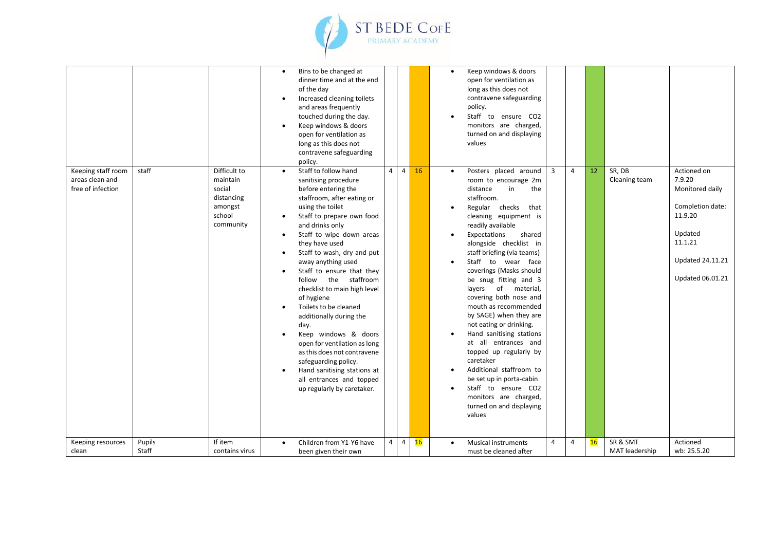

|                                                            |                 |                                                                                    | $\bullet$<br>$\bullet$<br>$\bullet$                                                     | Bins to be changed at<br>dinner time and at the end<br>of the day<br>Increased cleaning toilets<br>and areas frequently<br>touched during the day.<br>Keep windows & doors<br>open for ventilation as<br>long as this does not<br>contravene safeguarding<br>policy.                                                                                                                                                                                                                                                                                                                                                                           |                |                |    | $\bullet$              | Keep windows & doors<br>open for ventilation as<br>long as this does not<br>contravene safeguarding<br>policy.<br>Staff to ensure CO2<br>monitors are charged,<br>turned on and displaying<br>values                                                                                                                                                                                                                                                                                                                                                                                                                                                                                           |                |                |    |                            |                                                                                                                                              |
|------------------------------------------------------------|-----------------|------------------------------------------------------------------------------------|-----------------------------------------------------------------------------------------|------------------------------------------------------------------------------------------------------------------------------------------------------------------------------------------------------------------------------------------------------------------------------------------------------------------------------------------------------------------------------------------------------------------------------------------------------------------------------------------------------------------------------------------------------------------------------------------------------------------------------------------------|----------------|----------------|----|------------------------|------------------------------------------------------------------------------------------------------------------------------------------------------------------------------------------------------------------------------------------------------------------------------------------------------------------------------------------------------------------------------------------------------------------------------------------------------------------------------------------------------------------------------------------------------------------------------------------------------------------------------------------------------------------------------------------------|----------------|----------------|----|----------------------------|----------------------------------------------------------------------------------------------------------------------------------------------|
| Keeping staff room<br>areas clean and<br>free of infection | staff           | Difficult to<br>maintain<br>social<br>distancing<br>amongst<br>school<br>community | $\bullet$<br>$\bullet$<br>$\bullet$<br>$\bullet$<br>$\bullet$<br>$\bullet$<br>$\bullet$ | Staff to follow hand<br>sanitising procedure<br>before entering the<br>staffroom, after eating or<br>using the toilet<br>Staff to prepare own food<br>and drinks only<br>Staff to wipe down areas<br>they have used<br>Staff to wash, dry and put<br>away anything used<br>Staff to ensure that they<br>follow the staffroom<br>checklist to main high level<br>of hygiene<br>Toilets to be cleaned<br>additionally during the<br>day.<br>Keep windows & doors<br>open for ventilation as long<br>as this does not contravene<br>safeguarding policy.<br>Hand sanitising stations at<br>all entrances and topped<br>up regularly by caretaker. | $\overline{4}$ | $\overline{4}$ | 16 | $\bullet$<br>$\bullet$ | Posters placed around<br>room to encourage 2m<br>in<br>the<br>distance<br>staffroom.<br>Regular checks<br>that<br>cleaning equipment is<br>readily available<br>Expectations<br>shared<br>alongside checklist in<br>staff briefing (via teams)<br>Staff to wear face<br>coverings (Masks should<br>be snug fitting and 3<br>layers of material,<br>covering both nose and<br>mouth as recommended<br>by SAGE) when they are<br>not eating or drinking.<br>Hand sanitising stations<br>at all entrances and<br>topped up regularly by<br>caretaker<br>Additional staffroom to<br>be set up in porta-cabin<br>Staff to ensure CO2<br>monitors are charged,<br>turned on and displaying<br>values | 3              | $\overline{4}$ | 12 | SR, DB<br>Cleaning team    | Actioned on<br>7.9.20<br>Monitored daily<br>Completion date:<br>11.9.20<br>Updated<br>11.1.21<br><b>Updated 24.11.21</b><br>Updated 06.01.21 |
| Keeping resources<br>clean                                 | Pupils<br>Staff | If item<br>contains virus                                                          | $\bullet$                                                                               | Children from Y1-Y6 have<br>been given their own                                                                                                                                                                                                                                                                                                                                                                                                                                                                                                                                                                                               | $\overline{4}$ | $\overline{4}$ | 16 |                        | <b>Musical instruments</b><br>must be cleaned after                                                                                                                                                                                                                                                                                                                                                                                                                                                                                                                                                                                                                                            | $\overline{4}$ | 4              | 16 | SR & SMT<br>MAT leadership | Actioned<br>wb: 25.5.20                                                                                                                      |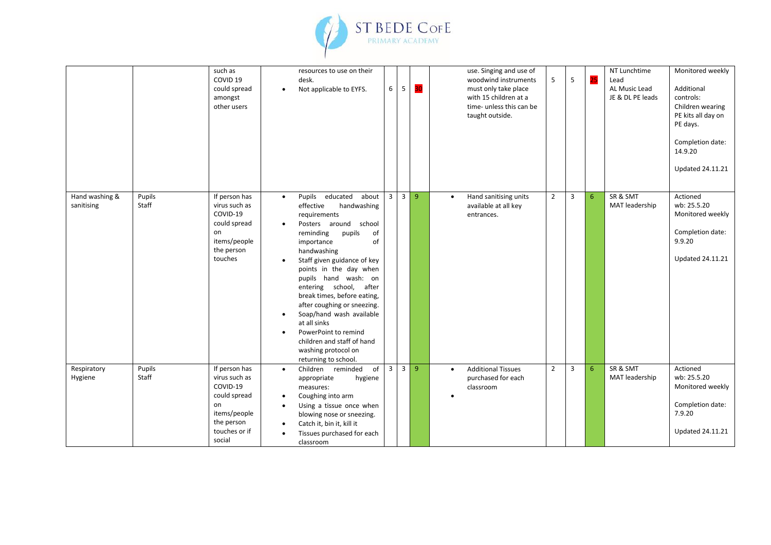

|                              |                 | such as<br>COVID <sub>19</sub><br>could spread<br>amongst<br>other users                                                  |                                     | resources to use on their<br>desk.<br>Not applicable to EYFS.                                                                                                                                                                                                                                                                                                                                                                                                                           | 6 <sup>1</sup> | 5              | 30             |           | use. Singing and use of<br>woodwind instruments<br>must only take place<br>with 15 children at a<br>time- unless this can be<br>taught outside. | 5              | 5 | 25 | NT Lunchtime<br>Lead<br>AL Music Lead<br>JE & DL PE leads | Monitored weekly<br>Additional<br>controls:<br>Children wearing<br>PE kits all day on<br>PE days.<br>Completion date:<br>14.9.20<br><b>Updated 24.11.21</b> |
|------------------------------|-----------------|---------------------------------------------------------------------------------------------------------------------------|-------------------------------------|-----------------------------------------------------------------------------------------------------------------------------------------------------------------------------------------------------------------------------------------------------------------------------------------------------------------------------------------------------------------------------------------------------------------------------------------------------------------------------------------|----------------|----------------|----------------|-----------|-------------------------------------------------------------------------------------------------------------------------------------------------|----------------|---|----|-----------------------------------------------------------|-------------------------------------------------------------------------------------------------------------------------------------------------------------|
| Hand washing &<br>sanitising | Pupils<br>Staff | If person has<br>virus such as<br>COVID-19<br>could spread<br>on<br>items/people<br>the person<br>touches                 | $\bullet$<br>$\bullet$<br>$\bullet$ | Pupils educated about<br>effective<br>handwashing<br>requirements<br>school<br>Posters around<br>reminding<br>of<br>pupils<br>importance<br>of<br>handwashing<br>Staff given guidance of key<br>points in the day when<br>pupils hand wash: on<br>entering school, after<br>break times, before eating,<br>after coughing or sneezing.<br>Soap/hand wash available<br>at all sinks<br>PowerPoint to remind<br>children and staff of hand<br>washing protocol on<br>returning to school. | 3 <sup>1</sup> | $\overline{3}$ | 9              | $\bullet$ | Hand sanitising units<br>available at all key<br>entrances.                                                                                     | $\overline{2}$ | 3 | 6  | SR & SMT<br>MAT leadership                                | Actioned<br>wb: 25.5.20<br>Monitored weekly<br>Completion date:<br>9.9.20<br><b>Updated 24.11.21</b>                                                        |
| Respiratory<br>Hygiene       | Pupils<br>Staff | If person has<br>virus such as<br>COVID-19<br>could spread<br>on<br>items/people<br>the person<br>touches or if<br>social | $\bullet$<br>$\bullet$<br>$\bullet$ | of<br>Children reminded<br>appropriate<br>hygiene<br>measures:<br>Coughing into arm<br>Using a tissue once when<br>blowing nose or sneezing.<br>Catch it, bin it, kill it<br>Tissues purchased for each<br>classroom                                                                                                                                                                                                                                                                    | 3 <sup>1</sup> | $\overline{3}$ | $\overline{9}$ | $\bullet$ | <b>Additional Tissues</b><br>purchased for each<br>classroom                                                                                    | $\overline{2}$ | 3 | 6  | SR & SMT<br>MAT leadership                                | Actioned<br>wb: 25.5.20<br>Monitored weekly<br>Completion date:<br>7.9.20<br><b>Updated 24.11.21</b>                                                        |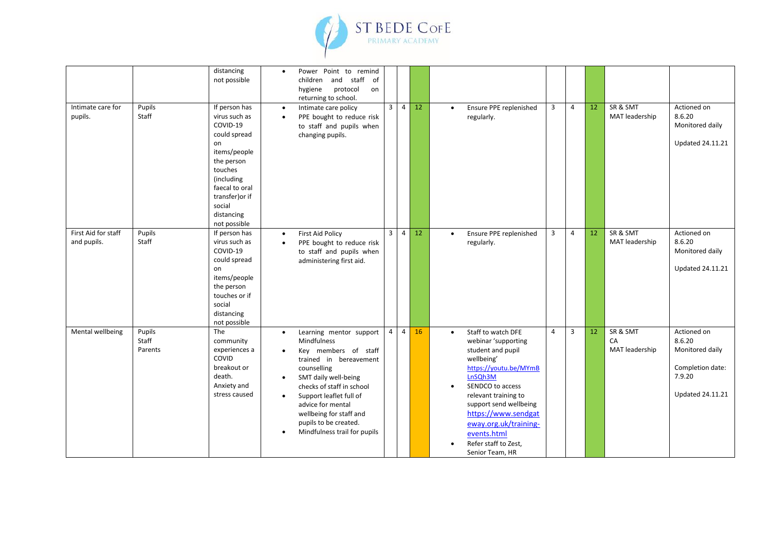

|                                    |                            | distancing<br>not possible                                                                                                                                                                           | $\bullet$                                                     | Power Point to remind<br>and staff<br>of<br>children<br>protocol<br>hygiene<br>on<br>returning to school.                                                                                                                                                                                        |                         |                |    |                        |                                                                                                                                                                                                                                                                                                  |                |                |                 |                                  |                                                                                                   |
|------------------------------------|----------------------------|------------------------------------------------------------------------------------------------------------------------------------------------------------------------------------------------------|---------------------------------------------------------------|--------------------------------------------------------------------------------------------------------------------------------------------------------------------------------------------------------------------------------------------------------------------------------------------------|-------------------------|----------------|----|------------------------|--------------------------------------------------------------------------------------------------------------------------------------------------------------------------------------------------------------------------------------------------------------------------------------------------|----------------|----------------|-----------------|----------------------------------|---------------------------------------------------------------------------------------------------|
| Intimate care for<br>pupils.       | Pupils<br>Staff            | If person has<br>virus such as<br>COVID-19<br>could spread<br>on<br>items/people<br>the person<br>touches<br>(including<br>faecal to oral<br>transfer) or if<br>social<br>distancing<br>not possible | $\bullet$<br>$\bullet$                                        | Intimate care policy<br>PPE bought to reduce risk<br>to staff and pupils when<br>changing pupils.                                                                                                                                                                                                | $\overline{\mathbf{3}}$ | $\overline{4}$ | 12 | $\bullet$              | Ensure PPE replenished<br>regularly.                                                                                                                                                                                                                                                             | $\overline{3}$ | $\overline{4}$ | 12 <sup>°</sup> | SR & SMT<br>MAT leadership       | Actioned on<br>8.6.20<br>Monitored daily<br><b>Updated 24.11.21</b>                               |
| First Aid for staff<br>and pupils. | Pupils<br>Staff            | If person has<br>virus such as<br>COVID-19<br>could spread<br>on<br>items/people<br>the person<br>touches or if<br>social<br>distancing<br>not possible                                              | $\bullet$<br>$\bullet$                                        | <b>First Aid Policy</b><br>PPE bought to reduce risk<br>to staff and pupils when<br>administering first aid.                                                                                                                                                                                     | $\overline{\mathbf{3}}$ | $\overline{4}$ | 12 | $\bullet$              | Ensure PPE replenished<br>regularly.                                                                                                                                                                                                                                                             | 3              | $\overline{4}$ | 12              | SR & SMT<br>MAT leadership       | Actioned on<br>8.6.20<br>Monitored daily<br><b>Updated 24.11.21</b>                               |
| Mental wellbeing                   | Pupils<br>Staff<br>Parents | The<br>community<br>experiences a<br>COVID<br>breakout or<br>death.<br>Anxiety and<br>stress caused                                                                                                  | $\bullet$<br>$\bullet$<br>$\bullet$<br>$\bullet$<br>$\bullet$ | Learning mentor support<br>Mindfulness<br>Key members of staff<br>trained in bereavement<br>counselling<br>SMT daily well-being<br>checks of staff in school<br>Support leaflet full of<br>advice for mental<br>wellbeing for staff and<br>pupils to be created.<br>Mindfulness trail for pupils | $\overline{4}$          | $\overline{4}$ | 16 | $\bullet$<br>$\bullet$ | Staff to watch DFE<br>webinar 'supporting<br>student and pupil<br>wellbeing'<br>https://youtu.be/MYmB<br>LnSQh3M<br>SENDCO to access<br>relevant training to<br>support send wellbeing<br>https://www.sendgat<br>eway.org.uk/training-<br>events.html<br>Refer staff to Zest,<br>Senior Team, HR | $\overline{4}$ | $\overline{3}$ | 12              | SR & SMT<br>CA<br>MAT leadership | Actioned on<br>8.6.20<br>Monitored daily<br>Completion date:<br>7.9.20<br><b>Updated 24.11.21</b> |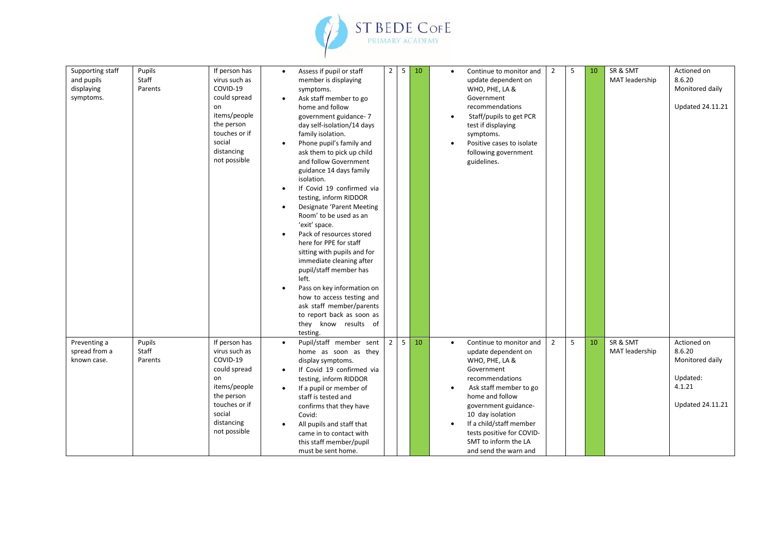

| Supporting staff<br>and pupils<br>displaying<br>symptoms. | Pupils<br>Staff<br>Parents | If person has<br>virus such as<br>COVID-19<br>could spread<br>on<br>items/people<br>the person<br>touches or if<br>social<br>distancing<br>not possible | $\bullet$<br>$\bullet$<br>$\bullet$<br>$\bullet$<br>$\bullet$<br>$\bullet$<br>$\bullet$ | Assess if pupil or staff<br>member is displaying<br>symptoms.<br>Ask staff member to go<br>home and follow<br>government guidance-7<br>day self-isolation/14 days<br>family isolation.<br>Phone pupil's family and<br>ask them to pick up child<br>and follow Government<br>guidance 14 days family<br>isolation.<br>If Covid 19 confirmed via<br>testing, inform RIDDOR<br>Designate 'Parent Meeting<br>Room' to be used as an<br>'exit' space.<br>Pack of resources stored<br>here for PPE for staff<br>sitting with pupils and for<br>immediate cleaning after<br>pupil/staff member has<br>left.<br>Pass on key information on<br>how to access testing and<br>ask staff member/parents<br>to report back as soon as<br>they know results of<br>testing. | $\overline{2}$ | 5 | 10 | $\bullet$              | Continue to monitor and<br>update dependent on<br>WHO, PHE, LA &<br>Government<br>recommendations<br>Staff/pupils to get PCR<br>test if displaying<br>symptoms.<br>Positive cases to isolate<br>following government<br>guidelines.                                                                 | $\overline{2}$ | 5 | 10 | SR & SMT<br>MAT leadership | Actioned on<br>8.6.20<br>Monitored daily<br><b>Updated 24.11.21</b>                       |
|-----------------------------------------------------------|----------------------------|---------------------------------------------------------------------------------------------------------------------------------------------------------|-----------------------------------------------------------------------------------------|--------------------------------------------------------------------------------------------------------------------------------------------------------------------------------------------------------------------------------------------------------------------------------------------------------------------------------------------------------------------------------------------------------------------------------------------------------------------------------------------------------------------------------------------------------------------------------------------------------------------------------------------------------------------------------------------------------------------------------------------------------------|----------------|---|----|------------------------|-----------------------------------------------------------------------------------------------------------------------------------------------------------------------------------------------------------------------------------------------------------------------------------------------------|----------------|---|----|----------------------------|-------------------------------------------------------------------------------------------|
| Preventing a<br>spread from a<br>known case.              | Pupils<br>Staff<br>Parents | If person has<br>virus such as<br>COVID-19<br>could spread<br>on<br>items/people<br>the person<br>touches or if<br>social<br>distancing<br>not possible | $\bullet$<br>$\bullet$<br>$\bullet$<br>$\bullet$                                        | Pupil/staff member sent<br>home as soon as they<br>display symptoms.<br>If Covid 19 confirmed via<br>testing, inform RIDDOR<br>If a pupil or member of<br>staff is tested and<br>confirms that they have<br>Covid:<br>All pupils and staff that<br>came in to contact with<br>this staff member/pupil<br>must be sent home.                                                                                                                                                                                                                                                                                                                                                                                                                                  | $\overline{2}$ | 5 | 10 | $\bullet$<br>$\bullet$ | Continue to monitor and<br>update dependent on<br>WHO, PHE, LA &<br>Government<br>recommendations<br>Ask staff member to go<br>home and follow<br>government guidance-<br>10 day isolation<br>If a child/staff member<br>tests positive for COVID-<br>SMT to inform the LA<br>and send the warn and | $\overline{2}$ | 5 | 10 | SR & SMT<br>MAT leadership | Actioned on<br>8.6.20<br>Monitored daily<br>Updated:<br>4.1.21<br><b>Updated 24.11.21</b> |